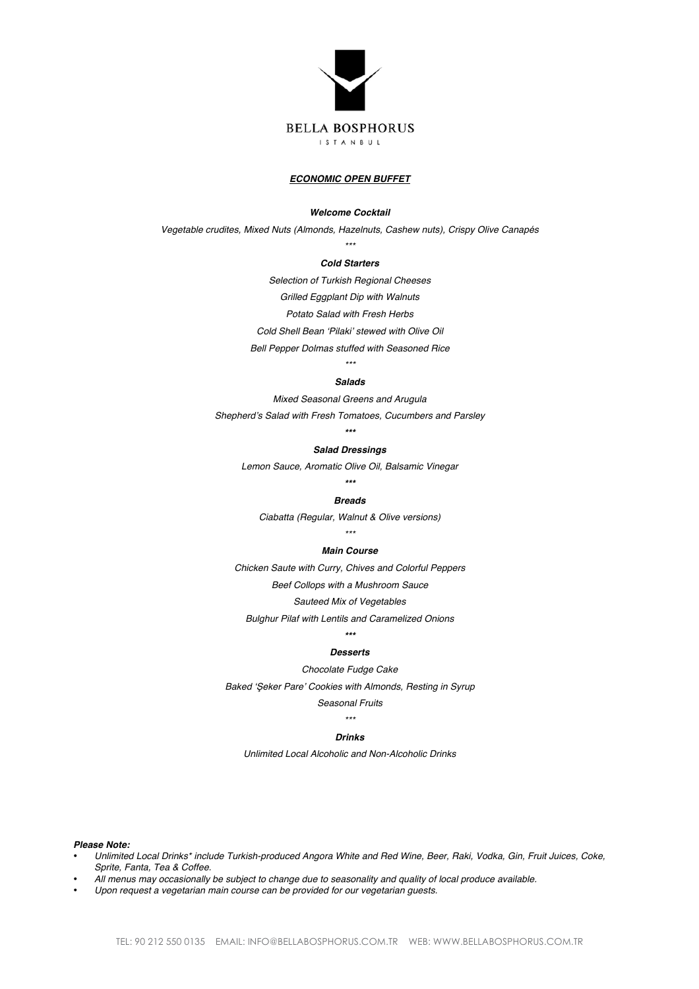

#### *ECONOMIC OPEN BUFFET*

#### *Welcome Cocktail*

*Vegetable crudites, Mixed Nuts (Almonds, Hazelnuts, Cashew nuts), Crispy Olive Canapés*

# *\*\*\* Cold Starters*

*Selection of Turkish Regional Cheeses*

*Grilled Eggplant Dip with Walnuts*

*Potato Salad with Fresh Herbs*

*Cold Shell Bean 'Pilaki' stewed with Olive Oil*

*Bell Pepper Dolmas stuffed with Seasoned Rice \*\*\**

# *Salads*

*Mixed Seasonal Greens and Arugula*

*Shepherd's Salad with Fresh Tomatoes, Cucumbers and Parsley \*\*\**

# *Salad Dressings*

*Lemon Sauce, Aromatic Olive Oil, Balsamic Vinegar*

#### *\*\*\**

#### *Breads*

*Ciabatta (Regular, Walnut & Olive versions)*

# *\*\*\**

#### *Main Course*

*Chicken Saute with Curry, Chives and Colorful Peppers*

*Beef Collops with a Mushroom Sauce*

#### *Sauteed Mix of Vegetables*

*Bulghur Pilaf with Lentils and Caramelized Onions*

# *\*\*\**

# *Desserts*

*Chocolate Fudge Cake*

*Baked '*Ş*eker Pare' Cookies with Almonds, Resting in Syrup*

#### *Seasonal Fruits \*\*\**

# *Drinks*

*Unlimited Local Alcoholic and Non-Alcoholic Drinks*

# *Please Note:*

- *Unlimited Local Drinks\* include Turkish-produced Angora White and Red Wine, Beer, Raki, Vodka, Gin, Fruit Juices, Coke, Sprite, Fanta, Tea & Coffee.*
- *All menus may occasionally be subject to change due to seasonality and quality of local produce available.*
- *Upon request a vegetarian main course can be provided for our vegetarian guests.*